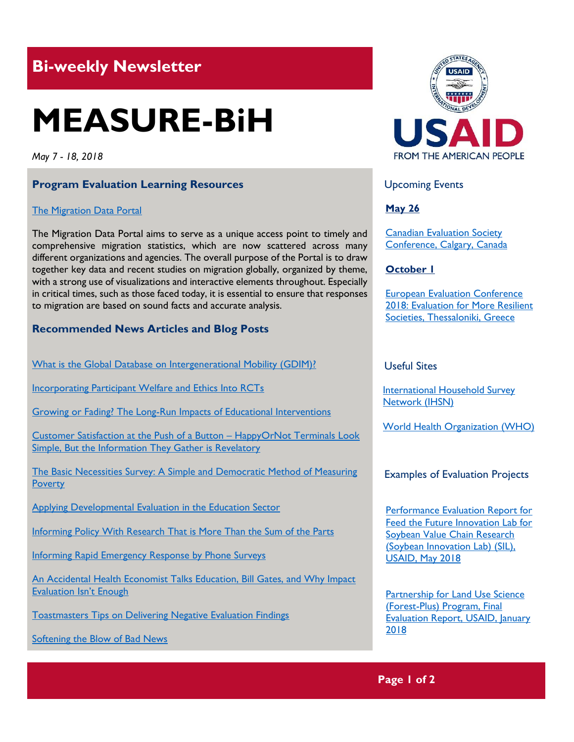## **Bi-weekly Newsletter**

# **MEASURE-BiH**

*May 7 - 18, 2018*

#### **Program Evaluation Learning Resources**

#### [The Migration Data Portal](https://migrationdataportal.org/?t=2017&i=stock_abs_)

The Migration Data Portal aims to serve as a unique access point to timely and comprehensive migration statistics, which are now scattered across many different organizations and agencies. The overall purpose of the Portal is to draw together key data and recent studies on migration globally, organized by theme, with a strong use of visualizations and interactive elements throughout. Especially in critical times, such as those faced today, it is essential to ensure that responses to migration are based on sound facts and accurate analysis.

#### **Recommended News Articles and Blog Posts**

[What is the Global Database on Intergenerational Mobility \(GDIM\)?](http://www.worldbank.org/en/topic/poverty/brief/what-is-the-global-database-on-intergenerational-mobility-gdim)

[Incorporating Participant Welfare and Ethics Into RCTs](https://blogs.worldbank.org/impactevaluations/incorporating-participant-welfare-and-ethics-rcts)

[Growing or Fading? The Long-Run Impacts of Educational Interventions](https://blogs.worldbank.org/impactevaluations/growing-or-fading-long-run-impacts-educational-interventions)

[Customer Satisfaction at the Push of a Button](https://www.newyorker.com/magazine/2018/02/05/customer-satisfaction-at-the-push-of-a-button) – HappyOrNot Terminals Look [Simple, But the Information They Gather is Revelatory](https://www.newyorker.com/magazine/2018/02/05/customer-satisfaction-at-the-push-of-a-button)

[The Basic Necessities Survey: A Simple and Democratic Method of Measuring](http://aea365.org/blog/the-basic-necessities-survey-a-simple-and-democratic-method-of-measuring-poverty-by-rick-davies/?utm_source=feedburner&utm_medium=feed&utm_campaign=Feed%3A+aea365+%28AEA365%29)  **[Poverty](http://aea365.org/blog/the-basic-necessities-survey-a-simple-and-democratic-method-of-measuring-poverty-by-rick-davies/?utm_source=feedburner&utm_medium=feed&utm_campaign=Feed%3A+aea365+%28AEA365%29)** 

[Applying Developmental Evaluation in the Education Sector](http://aea365.org/blog/ed-eval-tig-week-applying-developmental-evaluation-in-the-education-sector-by-chad-green-and-keiko-kuji-shikatani/?utm_source=feedburner&utm_medium=feed&utm_campaign=Feed%3A+aea365+%28AEA365%29)

[Informing Policy With Research That is More Than the Sum of the Parts](http://blogs.worldbank.org/impactevaluations/informing-policy-research-more-sum-parts)

[Informing Rapid Emergency Response by Phone Surveys](http://blogs.worldbank.org/developmenttalk/informing-rapid-emergency-response-phone-surveys)

[An Accidental Health Economist Talks Education, Bill Gates, and Why Impact](http://blogs.worldbank.org/education/accidental-health-economist-talks-education-bill-gates-and-why-impact-evaluation-isn-t-enough)  [Evaluation Isn't Enough](http://blogs.worldbank.org/education/accidental-health-economist-talks-education-bill-gates-and-why-impact-evaluation-isn-t-enough)

[Toastmasters Tips on Delivering Negative Evaluation Findings](http://aea365.org/blog/toastmasters-tips-on-delivering-negative-evaluation-findings-by-bernadette-wright/?utm_source=feedburner&utm_medium=feed&utm_campaign=Feed%3A+aea365+%28AEA365%29)

[Softening the Blow of Bad News](http://aea365.org/blog/softening-the-blow-of-bad-news-by-glenn-landers/?utm_source=feedburner&utm_medium=feed&utm_campaign=Feed%3A+aea365+%28AEA365%29)



Upcoming Events

**May 26**

[Canadian Evaluation Society](http://c2018.evaluationcanada.ca/)  [Conference, Calgary, Canada](http://c2018.evaluationcanada.ca/)

#### **October 1**

[European Evaluation Conference](http://www.ees2018.eu/)  [2018: Evaluation for More Resilient](http://www.ees2018.eu/)  [Societies, Thessaloniki, Greece](http://www.ees2018.eu/)

Useful Sites

[International Household Survey](http://www.ihsn.org/)  [Network \(IHSN\)](http://www.ihsn.org/)

[World Health Organization \(WHO\)](http://www.who.int/)

#### Examples of Evaluation Projects

[Performance Evaluation Report for](https://pdf.usaid.gov/pdf_docs/PA00SWXH.pdf)  [Feed the Future Innovation Lab for](https://pdf.usaid.gov/pdf_docs/PA00SWXH.pdf)  [Soybean Value Chain Research](https://pdf.usaid.gov/pdf_docs/PA00SWXH.pdf)  [\(Soybean Innovation Lab\) \(SIL\),](https://pdf.usaid.gov/pdf_docs/PA00SWXH.pdf)  [USAID, May 2018](https://pdf.usaid.gov/pdf_docs/PA00SWXH.pdf)

Partnership for Land Use Science [\(Forest-Plus\) Program, Final](https://pdf.usaid.gov/pdf_docs/PA00D5TM.pdf)  [Evaluation Report, USAID, January](https://pdf.usaid.gov/pdf_docs/PA00D5TM.pdf)  [2018](https://pdf.usaid.gov/pdf_docs/PA00D5TM.pdf)

**Page 1 of 2**